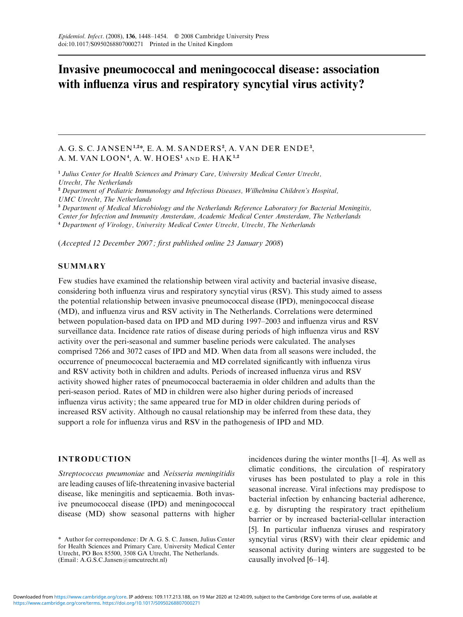# Invasive pneumococcal and meningococcal disease: association with influenza virus and respiratory syncytial virus activity?

## A. G. S. C. JANSEN<sup>1,2\*</sup>, E. A. M. SANDERS<sup>2</sup>, A. VAN DER ENDE<sup>3</sup>, A. M. VAN  ${\rm LOON^4}$ , A. W.  ${\rm HOES^1}$  and E.  ${\rm HAK^{1,2}}$

<sup>1</sup> Julius Center for Health Sciences and Primary Care, University Medical Center Utrecht, Utrecht, The Netherlands <sup>2</sup> Department of Pediatric Immunology and Infectious Diseases, Wilhelmina Children's Hospital, UMC Utrecht, The Netherlands

<sup>3</sup> Department of Medical Microbiology and the Netherlands Reference Laboratory for Bacterial Meningitis, Center for Infection and Immunity Amsterdam, Academic Medical Center Amsterdam, The Netherlands <sup>4</sup> Department of Virology, University Medical Center Utrecht, Utrecht, The Netherlands

(Accepted 12 December 2007 ; first published online 23 January 2008)

## **SUMMARY**

Few studies have examined the relationship between viral activity and bacterial invasive disease, considering both influenza virus and respiratory syncytial virus (RSV). This study aimed to assess the potential relationship between invasive pneumococcal disease (IPD), meningococcal disease (MD), and influenza virus and RSV activity in The Netherlands. Correlations were determined between population-based data on IPD and MD during 1997–2003 and influenza virus and RSV surveillance data. Incidence rate ratios of disease during periods of high influenza virus and RSV activity over the peri-seasonal and summer baseline periods were calculated. The analyses comprised 7266 and 3072 cases of IPD and MD. When data from all seasons were included, the occurrence of pneumococcal bacteraemia and MD correlated significantly with influenza virus and RSV activity both in children and adults. Periods of increased influenza virus and RSV activity showed higher rates of pneumococcal bacteraemia in older children and adults than the peri-season period. Rates of MD in children were also higher during periods of increased influenza virus activity; the same appeared true for MD in older children during periods of increased RSV activity. Although no causal relationship may be inferred from these data, they support a role for influenza virus and RSV in the pathogenesis of IPD and MD.

## INTRODUCTION

Streptococcus pneumoniae and Neisseria meningitidis are leading causes of life-threatening invasive bacterial disease, like meningitis and septicaemia. Both invasive pneumococcal disease (IPD) and meningococcal disease (MD) show seasonal patterns with higher

incidences during the winter months [1–4]. As well as climatic conditions, the circulation of respiratory viruses has been postulated to play a role in this seasonal increase. Viral infections may predispose to bacterial infection by enhancing bacterial adherence, e.g. by disrupting the respiratory tract epithelium barrier or by increased bacterial-cellular interaction [5]. In particular influenza viruses and respiratory syncytial virus (RSV) with their clear epidemic and seasonal activity during winters are suggested to be causally involved [6–14].

<sup>\*</sup> Author for correspondence: Dr A. G. S. C. Jansen, Julius Center for Health Sciences and Primary Care, University Medical Center Utrecht, PO Box 85500, 3508 GA Utrecht, The Netherlands. (Email: A.G.S.C.Jansen@umcutrecht.nl)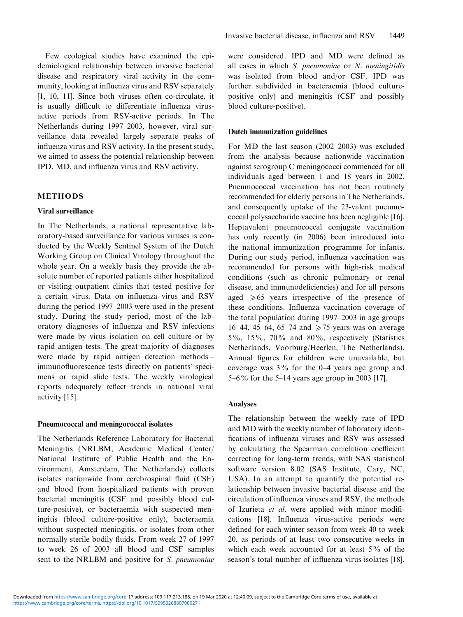Few ecological studies have examined the epidemiological relationship between invasive bacterial disease and respiratory viral activity in the community, looking at influenza virus and RSV separately [1, 10, 11]. Since both viruses often co-circulate, it is usually difficult to differentiate influenza virusactive periods from RSV-active periods. In The Netherlands during 1997–2003, however, viral surveillance data revealed largely separate peaks of influenza virus and RSV activity. In the present study, we aimed to assess the potential relationship between IPD, MD, and influenza virus and RSV activity.

## METHODS

#### Viral surveillance

In The Netherlands, a national representative laboratory-based surveillance for various viruses is conducted by the Weekly Sentinel System of the Dutch Working Group on Clinical Virology throughout the whole year. On a weekly basis they provide the absolute number of reported patients either hospitalized or visiting outpatient clinics that tested positive for a certain virus. Data on influenza virus and RSV during the period 1997–2003 were used in the present study. During the study period, most of the laboratory diagnoses of influenza and RSV infections were made by virus isolation on cell culture or by rapid antigen tests. The great majority of diagnoses were made by rapid antigen detection methods – immunofluorescence tests directly on patients' specimens or rapid slide tests. The weekly virological reports adequately reflect trends in national viral activity [15].

#### Pneumococcal and meningococcal isolates

The Netherlands Reference Laboratory for Bacterial Meningitis (NRLBM, Academic Medical Center/ National Institute of Public Health and the Environment, Amsterdam, The Netherlands) collects isolates nationwide from cerebrospinal fluid (CSF) and blood from hospitalized patients with proven bacterial meningitis (CSF and possibly blood culture-positive), or bacteraemia with suspected meningitis (blood culture-positive only), bacteraemia without suspected meningitis, or isolates from other normally sterile bodily fluids. From week 27 of 1997 to week 26 of 2003 all blood and CSF samples sent to the NRLBM and positive for S. pneumoniae were considered. IPD and MD were defined as all cases in which  $S$ . pneumoniae or  $N$ . meningitidis was isolated from blood and/or CSF. IPD was further subdivided in bacteraemia (blood culturepositive only) and meningitis (CSF and possibly blood culture-positive).

#### Dutch immunization guidelines

For MD the last season (2002–2003) was excluded from the analysis because nationwide vaccination against serogroup C meningococci commenced for all individuals aged between 1 and 18 years in 2002. Pneumococcal vaccination has not been routinely recommended for elderly persons in The Netherlands, and consequently uptake of the 23-valent pneumococcal polysaccharide vaccine has been negligible [16]. Heptavalent pneumococcal conjugate vaccination has only recently (in 2006) been introduced into the national immunization programme for infants. During our study period, influenza vaccination was recommended for persons with high-risk medical conditions (such as chronic pulmonary or renal disease, and immunodeficiencies) and for all persons aged  $\geq 65$  years irrespective of the presence of these conditions. Influenza vaccination coverage of the total population during 1997–2003 in age groups 16–44, 45–64, 65–74 and  $\geq$  75 years was on average 5%, 15%, 70% and 80%, respectively (Statistics Netherlands, Voorburg/Heerlen, The Netherlands). Annual figures for children were unavailable, but coverage was 3% for the 0–4 years age group and 5–6% for the 5–14 years age group in 2003 [17].

#### Analyses

The relationship between the weekly rate of IPD and MD with the weekly number of laboratory identifications of influenza viruses and RSV was assessed by calculating the Spearman correlation coefficient correcting for long-term trends, with SAS statistical software version 8.02 (SAS Institute, Cary, NC, USA). In an attempt to quantify the potential relationship between invasive bacterial disease and the circulation of influenza viruses and RSV, the methods of Izurieta et al. were applied with minor modifications [18]. Influenza virus-active periods were defined for each winter season from week 40 to week 20, as periods of at least two consecutive weeks in which each week accounted for at least 5% of the season's total number of influenza virus isolates [18].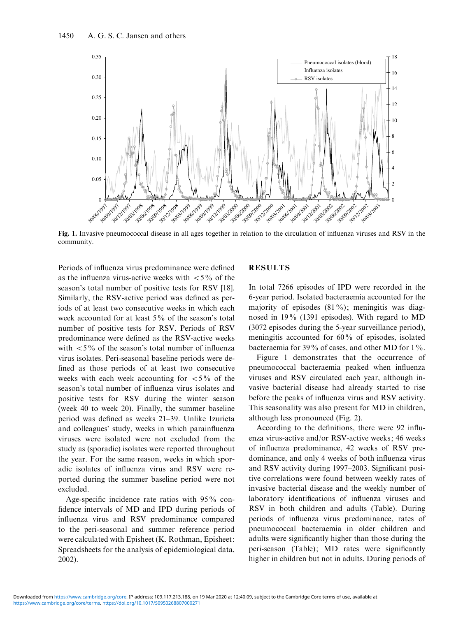

Fig. 1. Invasive pneumococcal disease in all ages together in relation to the circulation of influenza viruses and RSV in the community.

Periods of influenza virus predominance were defined as the influenza virus-active weeks with  $\lt 5\%$  of the season's total number of positive tests for RSV [18]. Similarly, the RSV-active period was defined as periods of at least two consecutive weeks in which each week accounted for at least 5% of the season's total number of positive tests for RSV. Periods of RSV predominance were defined as the RSV-active weeks with  $\langle 5\%$  of the season's total number of influenza virus isolates. Peri-seasonal baseline periods were defined as those periods of at least two consecutive weeks with each week accounting for  $\langle 5\% \rangle$  of the season's total number of influenza virus isolates and positive tests for RSV during the winter season (week 40 to week 20). Finally, the summer baseline period was defined as weeks 21–39. Unlike Izurieta and colleagues' study, weeks in which parainfluenza viruses were isolated were not excluded from the study as (sporadic) isolates were reported throughout the year. For the same reason, weeks in which sporadic isolates of influenza virus and RSV were reported during the summer baseline period were not excluded.

Age-specific incidence rate ratios with 95% confidence intervals of MD and IPD during periods of influenza virus and RSV predominance compared to the peri-seasonal and summer reference period were calculated with Episheet (K. Rothman, Episheet: Spreadsheets for the analysis of epidemiological data, 2002).

## **RESULTS**

In total 7266 episodes of IPD were recorded in the 6-year period. Isolated bacteraemia accounted for the majority of episodes  $(81\%)$ ; meningitis was diagnosed in 19% (1391 episodes). With regard to MD (3072 episodes during the 5-year surveillance period), meningitis accounted for 60% of episodes, isolated bacteraemia for 39% of cases, and other MD for 1%.

Figure 1 demonstrates that the occurrence of pneumococcal bacteraemia peaked when influenza viruses and RSV circulated each year, although invasive bacterial disease had already started to rise before the peaks of influenza virus and RSV activity. This seasonality was also present for MD in children, although less pronounced (Fig. 2).

According to the definitions, there were 92 influenza virus-active and/or RSV-active weeks; 46 weeks of influenza predominance, 42 weeks of RSV predominance, and only 4 weeks of both influenza virus and RSV activity during 1997–2003. Significant positive correlations were found between weekly rates of invasive bacterial disease and the weekly number of laboratory identifications of influenza viruses and RSV in both children and adults (Table). During periods of influenza virus predominance, rates of pneumococcal bacteraemia in older children and adults were significantly higher than those during the peri-season (Table); MD rates were significantly higher in children but not in adults. During periods of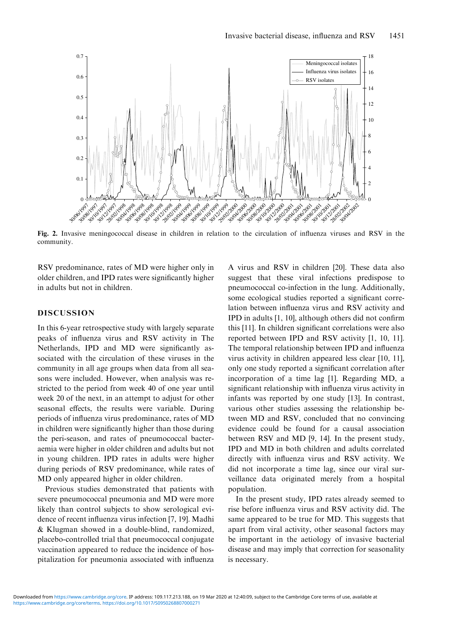

Fig. 2. Invasive meningococcal disease in children in relation to the circulation of influenza viruses and RSV in the community.

RSV predominance, rates of MD were higher only in older children, and IPD rates were significantly higher in adults but not in children.

## DISCUSSION

In this 6-year retrospective study with largely separate peaks of influenza virus and RSV activity in The Netherlands, IPD and MD were significantly associated with the circulation of these viruses in the community in all age groups when data from all seasons were included. However, when analysis was restricted to the period from week 40 of one year until week 20 of the next, in an attempt to adjust for other seasonal effects, the results were variable. During periods of influenza virus predominance, rates of MD in children were significantly higher than those during the peri-season, and rates of pneumococcal bacteraemia were higher in older children and adults but not in young children. IPD rates in adults were higher during periods of RSV predominance, while rates of MD only appeared higher in older children.

Previous studies demonstrated that patients with severe pneumococcal pneumonia and MD were more likely than control subjects to show serological evidence of recent influenza virus infection [7, 19]. Madhi & Klugman showed in a double-blind, randomized, placebo-controlled trial that pneumococcal conjugate vaccination appeared to reduce the incidence of hospitalization for pneumonia associated with influenza

A virus and RSV in children [20]. These data also suggest that these viral infections predispose to pneumococcal co-infection in the lung. Additionally, some ecological studies reported a significant correlation between influenza virus and RSV activity and IPD in adults [1, 10], although others did not confirm this [11]. In children significant correlations were also reported between IPD and RSV activity [1, 10, 11]. The temporal relationship between IPD and influenza virus activity in children appeared less clear [10, 11], only one study reported a significant correlation after incorporation of a time lag [1]. Regarding MD, a significant relationship with influenza virus activity in infants was reported by one study [13]. In contrast, various other studies assessing the relationship between MD and RSV, concluded that no convincing evidence could be found for a causal association between RSV and MD [9, 14]. In the present study, IPD and MD in both children and adults correlated directly with influenza virus and RSV activity. We did not incorporate a time lag, since our viral surveillance data originated merely from a hospital population.

In the present study, IPD rates already seemed to rise before influenza virus and RSV activity did. The same appeared to be true for MD. This suggests that apart from viral activity, other seasonal factors may be important in the aetiology of invasive bacterial disease and may imply that correction for seasonality is necessary.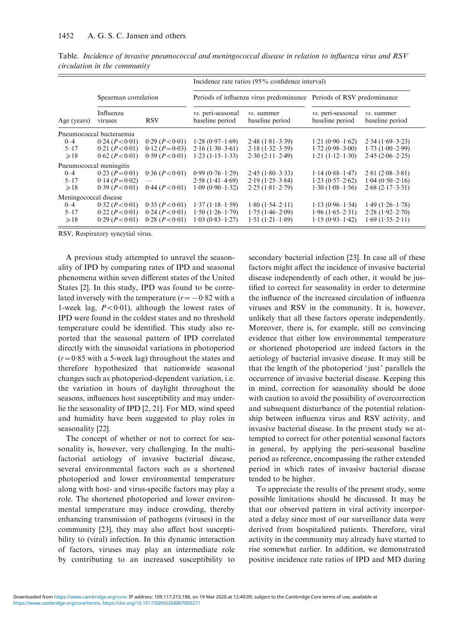|                          |                      |                   | Incidence rate ratios $(95\%$ confidence interval)                  |                               |                                             |                                      |
|--------------------------|----------------------|-------------------|---------------------------------------------------------------------|-------------------------------|---------------------------------------------|--------------------------------------|
|                          | Spearman correlation |                   | Periods of influenza virus predominance Periods of RSV predominance |                               |                                             |                                      |
| Age (years)              | Influenza<br>viruses | <b>RSV</b>        | <i>vs.</i> peri-seasonal<br>baseline period                         | vs. summer<br>baseline period | <i>vs.</i> peri-seasonal<br>baseline period | <i>vs.</i> summer<br>baseline period |
| Pneumococcal bacteraemia |                      |                   |                                                                     |                               |                                             |                                      |
| $0 - 4$                  | 0.24 (P < 0.01)      | 0.29 (P < 0.01)   | $1.28(0.97-1.69)$                                                   | $2.48(1.81-3.39)$             | $1.21(0.90-1.62)$                           | $2.34(1.69-3.23)$                    |
| $5 - 17$                 | 0.21 (P < 0.01)      | $0.12 (P = 0.03)$ | $2.16(1.30-3.61)$                                                   | $2.18(1.32 - 3.59)$           | $1.72(0.98-3.00)$                           | $1.73(1.00-2.99)$                    |
| $\geqslant$ 18           | 0.62 (P < 0.01)      | 0.59 (P < 0.01)   | $1.23(1.15-1.33)$                                                   | $2.30(2.11-2.49)$             | $1.21(1.12-1.30)$                           | $2.45(2.06-2.25)$                    |
| Pneumococcal meningitis  |                      |                   |                                                                     |                               |                                             |                                      |
| $0 - 4$                  | $0.23 (P = 0.01)$    | 0.36 (P < 0.01)   | $0.99(0.76-1.29)$                                                   | $2.45(1.80-3.33)$             | $1.14(0.88 - 1.47)$                         | $2.81(2.08-3.81)$                    |
| $5 - 17$                 | $0.14 (P=0.02)$      |                   | $2.58(1.41-4.69)$                                                   | $2.19(1.25 - 3.84)$           | $1.23(0.57-2.62)$                           | $1.04(0.50-2.16)$                    |
| $\geqslant$ 18           | 0.39 (P < 0.01)      | 0.44 (P<0.01)     | $1.09(0.90-1.32)$                                                   | $2.25(1.81-2.79)$             | $1.30(1.08-1.56)$                           | $2.68(2.17-3.31)$                    |
| Meningococcal disease    |                      |                   |                                                                     |                               |                                             |                                      |
| $0 - 4$                  | 0.32 (P < 0.01)      | 0.35 (P < 0.01)   | $1.37(1.18-1.59)$                                                   | $1.80(1.54 - 2.11)$           | $1.13(0.96-1.34)$                           | $1.49(1.26-1.78)$                    |
| $5 - 17$                 | 0.22 (P < 0.01)      | 0.24 (P < 0.01)   | $1.50(1.26-1.79)$                                                   | $1.75(1.46-2.09)$             | $1.96(1.65-2.31)$                           | $2.28(1.92 - 2.70)$                  |
| $\geqslant$ 18           | 0.29 (P < 0.01)      | 0.28 (P < 0.01)   | $1.03(0.83 - 1.27)$                                                 | $1.51(1.21-1.89)$             | $1.15(0.93-1.42)$                           | $1.69(1.35 - 2.11)$                  |

Table. Incidence of invasive pneumococcal and meningococcal disease in relation to influenza virus and RSV circulation in the community

RSV, Respiratory syncytial virus.

A previous study attempted to unravel the seasonality of IPD by comparing rates of IPD and seasonal phenomena within seven different states of the United States [2]. In this study, IPD was found to be correlated inversely with the temperature  $(r = -0.82 \text{ with a})$ 1-week lag,  $P < 0.01$ ), although the lowest rates of IPD were found in the coldest states and no threshold temperature could be identified. This study also reported that the seasonal pattern of IPD correlated directly with the sinusoidal variations in photoperiod  $(r=0.85$  with a 5-week lag) throughout the states and therefore hypothesized that nationwide seasonal changes such as photoperiod-dependent variation, i.e. the variation in hours of daylight throughout the seasons, influences host susceptibility and may underlie the seasonality of IPD [2, 21]. For MD, wind speed and humidity have been suggested to play roles in seasonality [22].

The concept of whether or not to correct for seasonality is, however, very challenging. In the multifactorial aetiology of invasive bacterial disease, several environmental factors such as a shortened photoperiod and lower environmental temperature along with host- and virus-specific factors may play a role. The shortened photoperiod and lower environmental temperature may induce crowding, thereby enhancing transmission of pathogens (viruses) in the community [23], they may also affect host susceptibility to (viral) infection. In this dynamic interaction of factors, viruses may play an intermediate role by contributing to an increased susceptibility to

secondary bacterial infection [23]. In case all of these factors might affect the incidence of invasive bacterial disease independently of each other, it would be justified to correct for seasonality in order to determine the influence of the increased circulation of influenza viruses and RSV in the community. It is, however, unlikely that all these factors operate independently. Moreover, there is, for example, still no convincing evidence that either low environmental temperature or shortened photoperiod are indeed factors in the aetiology of bacterial invasive disease. It may still be that the length of the photoperiod 'just' parallels the occurrence of invasive bacterial disease. Keeping this in mind, correction for seasonality should be done with caution to avoid the possibility of overcorrection and subsequent disturbance of the potential relationship between influenza virus and RSV activity, and invasive bacterial disease. In the present study we attempted to correct for other potential seasonal factors in general, by applying the peri-seasonal baseline period as reference, encompassing the rather extended period in which rates of invasive bacterial disease tended to be higher.

To appreciate the results of the present study, some possible limitations should be discussed. It may be that our observed pattern in viral activity incorporated a delay since most of our surveillance data were derived from hospitalized patients. Therefore, viral activity in the community may already have started to rise somewhat earlier. In addition, we demonstrated positive incidence rate ratios of IPD and MD during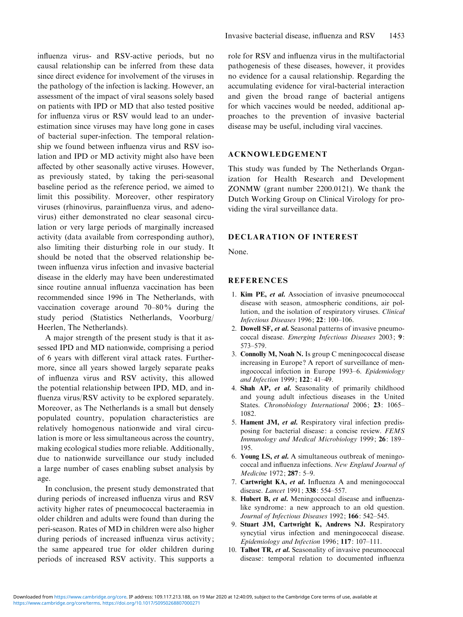influenza virus- and RSV-active periods, but no causal relationship can be inferred from these data since direct evidence for involvement of the viruses in the pathology of the infection is lacking. However, an assessment of the impact of viral seasons solely based on patients with IPD or MD that also tested positive for influenza virus or RSV would lead to an underestimation since viruses may have long gone in cases of bacterial super-infection. The temporal relationship we found between influenza virus and RSV isolation and IPD or MD activity might also have been affected by other seasonally active viruses. However, as previously stated, by taking the peri-seasonal baseline period as the reference period, we aimed to limit this possibility. Moreover, other respiratory viruses (rhinovirus, parainfluenza virus, and adenovirus) either demonstrated no clear seasonal circulation or very large periods of marginally increased activity (data available from corresponding author), also limiting their disturbing role in our study. It should be noted that the observed relationship between influenza virus infection and invasive bacterial disease in the elderly may have been underestimated since routine annual influenza vaccination has been recommended since 1996 in The Netherlands, with vaccination coverage around 70–80% during the study period (Statistics Netherlands, Voorburg/ Heerlen, The Netherlands).

A major strength of the present study is that it assessed IPD and MD nationwide, comprising a period of 6 years with different viral attack rates. Furthermore, since all years showed largely separate peaks of influenza virus and RSV activity, this allowed the potential relationship between IPD, MD, and influenza virus/RSV activity to be explored separately. Moreover, as The Netherlands is a small but densely populated country, population characteristics are relatively homogenous nationwide and viral circulation is more or less simultaneous across the country, making ecological studies more reliable. Additionally, due to nationwide surveillance our study included a large number of cases enabling subset analysis by age.

In conclusion, the present study demonstrated that during periods of increased influenza virus and RSV activity higher rates of pneumococcal bacteraemia in older children and adults were found than during the peri-season. Rates of MD in children were also higher during periods of increased influenza virus activity; the same appeared true for older children during periods of increased RSV activity. This supports a role for RSV and influenza virus in the multifactorial pathogenesis of these diseases, however, it provides no evidence for a causal relationship. Regarding the accumulating evidence for viral-bacterial interaction and given the broad range of bacterial antigens for which vaccines would be needed, additional approaches to the prevention of invasive bacterial disease may be useful, including viral vaccines.

## ACKNOWLEDGEMENT

This study was funded by The Netherlands Organization for Health Research and Development ZONMW (grant number 2200.0121). We thank the Dutch Working Group on Clinical Virology for providing the viral surveillance data.

## DECLARATION OF INTEREST

None.

## **REFERENCES**

- 1. Kim PE, et al. Association of invasive pneumococcal disease with season, atmospheric conditions, air pollution, and the isolation of respiratory viruses. Clinical Infectious Diseases 1996; 22: 100–106.
- 2. Dowell SF, et al. Seasonal patterns of invasive pneumococcal disease. Emerging Infectious Diseases 2003; 9: 573–579.
- 3. Connolly M, Noah N. Is group C meningococcal disease increasing in Europe? A report of surveillance of meningococcal infection in Europe 1993–6. Epidemiology and Infection 1999; 122: 41–49.
- 4. Shah AP, et al. Seasonality of primarily childhood and young adult infectious diseases in the United States. Chronobiology International 2006; 23: 1065-1082.
- 5. Hament JM, et al. Respiratory viral infection predisposing for bacterial disease: a concise review. FEMS Immunology and Medical Microbiology 1999; 26: 189– 195.
- 6. Young LS, et al. A simultaneous outbreak of meningococcal and influenza infections. New England Journal of Medicine 1972; 287: 5–9.
- 7. Cartwright KA, et al. Influenza A and meningococcal disease. *Lancet* 1991; 338: 554-557.
- 8. Hubert B, et al. Meningococcal disease and influenzalike syndrome: a new approach to an old question. Journal of Infectious Diseases 1992; 166: 542–545.
- 9. Stuart JM, Cartwright K, Andrews NJ. Respiratory syncytial virus infection and meningococcal disease. Epidemiology and Infection 1996; 117: 107–111.
- 10. Talbot TR, et al. Seasonality of invasive pneumococcal disease: temporal relation to documented influenza